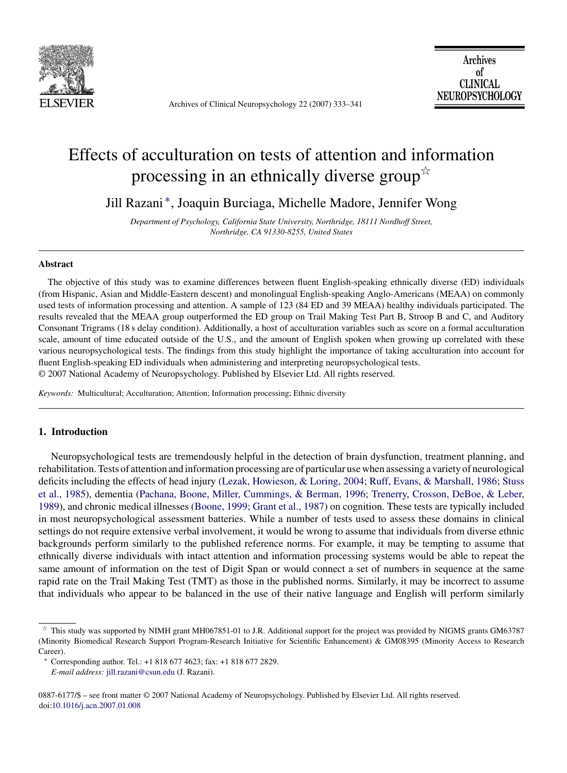

Archives of Clinical Neuropsychology 22 (2007) 333–341

# Effects of acculturation on tests of attention and information processing in an ethnically diverse group<sup>\*</sup>

Jill Razani ∗, Joaquin Burciaga, Michelle Madore, Jennifer Wong

*Department of Psychology, California State University, Northridge, 18111 Nordhoff Street, Northridge, CA 91330-8255, United States*

#### **Abstract**

The objective of this study was to examine differences between fluent English-speaking ethnically diverse (ED) individuals (from Hispanic, Asian and Middle-Eastern descent) and monolingual English-speaking Anglo-Americans (MEAA) on commonly used tests of information processing and attention. A sample of 123 (84 ED and 39 MEAA) healthy individuals participated. The results revealed that the MEAA group outperformed the ED group on Trail Making Test Part B, Stroop B and C, and Auditory Consonant Trigrams (18 s delay condition). Additionally, a host of acculturation variables such as score on a formal acculturation scale, amount of time educated outside of the U.S., and the amount of English spoken when growing up correlated with these various neuropsychological tests. The findings from this study highlight the importance of taking acculturation into account for fluent English-speaking ED individuals when administering and interpreting neuropsychological tests. © 2007 National Academy of Neuropsychology. Published by Elsevier Ltd. All rights reserved.

*Keywords:* Multicultural; Acculturation; Attention; Information processing; Ethnic diversity

## **1. Introduction**

Neuropsychological tests are tremendously helpful in the detection of brain dysfunction, treatment planning, and rehabilitation. Tests of attention and information processing are of particular use when assessing a variety of neurological deficits including the effects of head injury [\(Lezak, Howieson, & Loring, 2004;](#page-8-0) [Ruff, Evans, & Marshall, 1986;](#page-8-0) [Stuss](#page-8-0) [et al., 1985\),](#page-8-0) dementia ([Pachana, Boone, Miller, Cummings, & Berman, 1996;](#page-8-0) [Trenerry, Crosson, DeBoe, & Leber,](#page-8-0) [1989\),](#page-8-0) and chronic medical illnesses ([Boone, 1999; Grant et al., 1987\)](#page-8-0) on cognition. These tests are typically included in most neuropsychological assessment batteries. While a number of tests used to assess these domains in clinical settings do not require extensive verbal involvement, it would be wrong to assume that individuals from diverse ethnic backgrounds perform similarly to the published reference norms. For example, it may be tempting to assume that ethnically diverse individuals with intact attention and information processing systems would be able to repeat the same amount of information on the test of Digit Span or would connect a set of numbers in sequence at the same rapid rate on the Trail Making Test (TMT) as those in the published norms. Similarly, it may be incorrect to assume that individuals who appear to be balanced in the use of their native language and English will perform similarly

0887-6177/\$ – see front matter © 2007 National Academy of Neuropsychology. Published by Elsevier Ltd. All rights reserved. doi:[10.1016/j.acn.2007.01.008](dx.doi.org/10.1016/j.acn.2007.01.008)

 $*$  This study was supported by NIMH grant MH067851-01 to J.R. Additional support for the project was provided by NIGMS grants GM63787 (Minority Biomedical Research Support Program-Research Initiative for Scientific Enhancement) & GM08395 (Minority Access to Research Career).

<sup>∗</sup> Corresponding author. Tel.: +1 818 677 4623; fax: +1 818 677 2829.

*E-mail address:* [jill.razani@csun.edu](mailto:jill.razani@csun.edu) (J. Razani).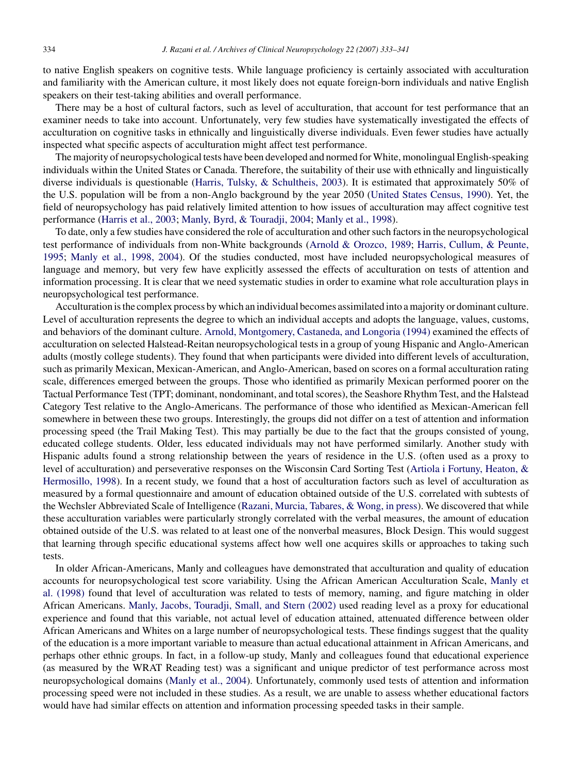to native English speakers on cognitive tests. While language proficiency is certainly associated with acculturation and familiarity with the American culture, it most likely does not equate foreign-born individuals and native English speakers on their test-taking abilities and overall performance.

There may be a host of cultural factors, such as level of acculturation, that account for test performance that an examiner needs to take into account. Unfortunately, very few studies have systematically investigated the effects of acculturation on cognitive tasks in ethnically and linguistically diverse individuals. Even fewer studies have actually inspected what specific aspects of acculturation might affect test performance.

The majority of neuropsychological tests have been developed and normed for White, monolingual English-speaking individuals within the United States or Canada. Therefore, the suitability of their use with ethnically and linguistically diverse individuals is questionable [\(Harris, Tulsky, & Schultheis, 2003\).](#page-8-0) It is estimated that approximately 50% of the U.S. population will be from a non-Anglo background by the year 2050 ([United States Census, 1990\).](#page-8-0) Yet, the field of neuropsychology has paid relatively limited attention to how issues of acculturation may affect cognitive test performance [\(Harris et al., 2003;](#page-8-0) [Manly, Byrd, & Touradji, 2004;](#page-8-0) [Manly et al., 1998\).](#page-8-0)

To date, only a few studies have considered the role of acculturation and other such factors in the neuropsychological test performance of individuals from non-White backgrounds ([Arnold & Orozco, 1989;](#page-8-0) [Harris, Cullum, & Peunte,](#page-8-0) [1995;](#page-8-0) [Manly et al., 1998, 2004\).](#page-8-0) Of the studies conducted, most have included neuropsychological measures of language and memory, but very few have explicitly assessed the effects of acculturation on tests of attention and information processing. It is clear that we need systematic studies in order to examine what role acculturation plays in neuropsychological test performance.

Acculturation is the complex process by which an individual becomes assimilated into a majority or dominant culture. Level of acculturation represents the degree to which an individual accepts and adopts the language, values, customs, and behaviors of the dominant culture. [Arnold, Montgomery, Castaneda, and Longoria \(1994\)](#page-8-0) examined the effects of acculturation on selected Halstead-Reitan neuropsychological tests in a group of young Hispanic and Anglo-American adults (mostly college students). They found that when participants were divided into different levels of acculturation, such as primarily Mexican, Mexican-American, and Anglo-American, based on scores on a formal acculturation rating scale, differences emerged between the groups. Those who identified as primarily Mexican performed poorer on the Tactual Performance Test (TPT; dominant, nondominant, and total scores), the Seashore Rhythm Test, and the Halstead Category Test relative to the Anglo-Americans. The performance of those who identified as Mexican-American fell somewhere in between these two groups. Interestingly, the groups did not differ on a test of attention and information processing speed (the Trail Making Test). This may partially be due to the fact that the groups consisted of young, educated college students. Older, less educated individuals may not have performed similarly. Another study with Hispanic adults found a strong relationship between the years of residence in the U.S. (often used as a proxy to level of acculturation) and perseverative responses on the Wisconsin Card Sorting Test ([Artiola i Fortuny, Heaton, &](#page-8-0) [Hermosillo, 1998\).](#page-8-0) In a recent study, we found that a host of acculturation factors such as level of acculturation as measured by a formal questionnaire and amount of education obtained outside of the U.S. correlated with subtests of the Wechsler Abbreviated Scale of Intelligence ([Razani, Murcia, Tabares, & Wong, in press\).](#page-8-0) We discovered that while these acculturation variables were particularly strongly correlated with the verbal measures, the amount of education obtained outside of the U.S. was related to at least one of the nonverbal measures, Block Design. This would suggest that learning through specific educational systems affect how well one acquires skills or approaches to taking such tests.

In older African-Americans, Manly and colleagues have demonstrated that acculturation and quality of education accounts for neuropsychological test score variability. Using the African American Acculturation Scale, [Manly et](#page-8-0) [al. \(1998\)](#page-8-0) found that level of acculturation was related to tests of memory, naming, and figure matching in older African Americans. [Manly, Jacobs, Touradji, Small, and Stern \(2002\)](#page-8-0) used reading level as a proxy for educational experience and found that this variable, not actual level of education attained, attenuated difference between older African Americans and Whites on a large number of neuropsychological tests. These findings suggest that the quality of the education is a more important variable to measure than actual educational attainment in African Americans, and perhaps other ethnic groups. In fact, in a follow-up study, Manly and colleagues found that educational experience (as measured by the WRAT Reading test) was a significant and unique predictor of test performance across most neuropsychological domains [\(Manly et al., 2004\).](#page-8-0) Unfortunately, commonly used tests of attention and information processing speed were not included in these studies. As a result, we are unable to assess whether educational factors would have had similar effects on attention and information processing speeded tasks in their sample.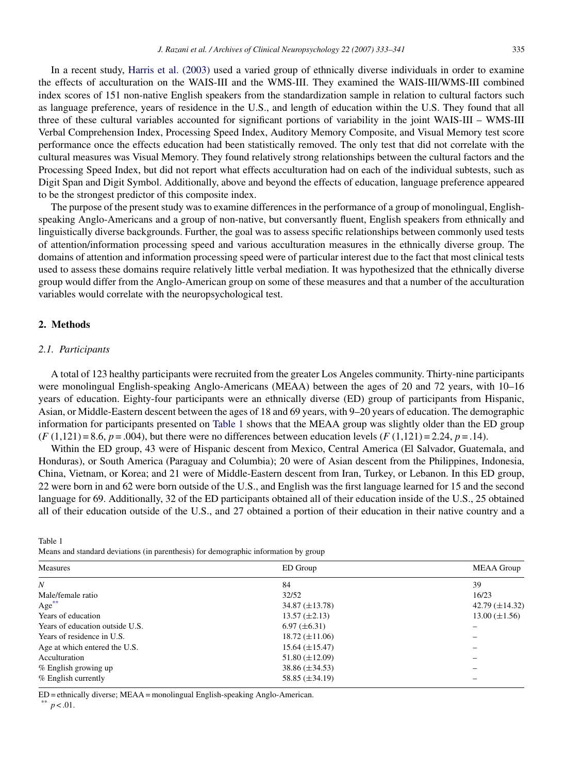<span id="page-2-0"></span>In a recent study, [Harris et al. \(2003\)](#page-8-0) used a varied group of ethnically diverse individuals in order to examine the effects of acculturation on the WAIS-III and the WMS-III. They examined the WAIS-III/WMS-III combined index scores of 151 non-native English speakers from the standardization sample in relation to cultural factors such as language preference, years of residence in the U.S., and length of education within the U.S. They found that all three of these cultural variables accounted for significant portions of variability in the joint WAIS-III – WMS-III Verbal Comprehension Index, Processing Speed Index, Auditory Memory Composite, and Visual Memory test score performance once the effects education had been statistically removed. The only test that did not correlate with the cultural measures was Visual Memory. They found relatively strong relationships between the cultural factors and the Processing Speed Index, but did not report what effects acculturation had on each of the individual subtests, such as Digit Span and Digit Symbol. Additionally, above and beyond the effects of education, language preference appeared to be the strongest predictor of this composite index.

The purpose of the present study was to examine differences in the performance of a group of monolingual, Englishspeaking Anglo-Americans and a group of non-native, but conversantly fluent, English speakers from ethnically and linguistically diverse backgrounds. Further, the goal was to assess specific relationships between commonly used tests of attention/information processing speed and various acculturation measures in the ethnically diverse group. The domains of attention and information processing speed were of particular interest due to the fact that most clinical tests used to assess these domains require relatively little verbal mediation. It was hypothesized that the ethnically diverse group would differ from the Anglo-American group on some of these measures and that a number of the acculturation variables would correlate with the neuropsychological test.

# **2. Methods**

#### *2.1. Participants*

A total of 123 healthy participants were recruited from the greater Los Angeles community. Thirty-nine participants were monolingual English-speaking Anglo-Americans (MEAA) between the ages of 20 and 72 years, with 10–16 years of education. Eighty-four participants were an ethnically diverse (ED) group of participants from Hispanic, Asian, or Middle-Eastern descent between the ages of 18 and 69 years, with 9–20 years of education. The demographic information for participants presented on Table 1 shows that the MEAA group was slightly older than the ED group  $(F(1,121) = 8.6, p = .004)$ , but there were no differences between education levels  $(F(1,121) = 2.24, p = .14)$ .

Within the ED group, 43 were of Hispanic descent from Mexico, Central America (El Salvador, Guatemala, and Honduras), or South America (Paraguay and Columbia); 20 were of Asian descent from the Philippines, Indonesia, China, Vietnam, or Korea; and 21 were of Middle-Eastern descent from Iran, Turkey, or Lebanon. In this ED group, 22 were born in and 62 were born outside of the U.S., and English was the first language learned for 15 and the second language for 69. Additionally, 32 of the ED participants obtained all of their education inside of the U.S., 25 obtained all of their education outside of the U.S., and 27 obtained a portion of their education in their native country and a

| Measures                        | ED Group              | MEAA Group          |  |
|---------------------------------|-----------------------|---------------------|--|
| N                               | 84                    | 39                  |  |
| Male/female ratio               | 32/52                 | 16/23               |  |
| $Age^{**}$                      | $34.87 \ (\pm 13.78)$ | 42.79 $(\pm 14.32)$ |  |
| Years of education              | $13.57 \ (\pm 2.13)$  | $13.00 (\pm 1.56)$  |  |
| Years of education outside U.S. | $6.97 \ (\pm 6.31)$   |                     |  |
| Years of residence in U.S.      | $18.72 \ (\pm 11.06)$ |                     |  |
| Age at which entered the U.S.   | $15.64 \ (\pm 15.47)$ |                     |  |
| Acculturation                   | $51.80 \ (\pm 12.09)$ |                     |  |
| % English growing up            | $38.86 \ (\pm 34.53)$ |                     |  |
| % English currently             | 58.85 $(\pm 34.19)$   |                     |  |
|                                 |                       |                     |  |

Means and standard deviations (in parenthesis) for demographic information by group

ED = ethnically diverse; MEAA = monolingual English-speaking Anglo-American.

\*\*  $p < .01$ .

Table 1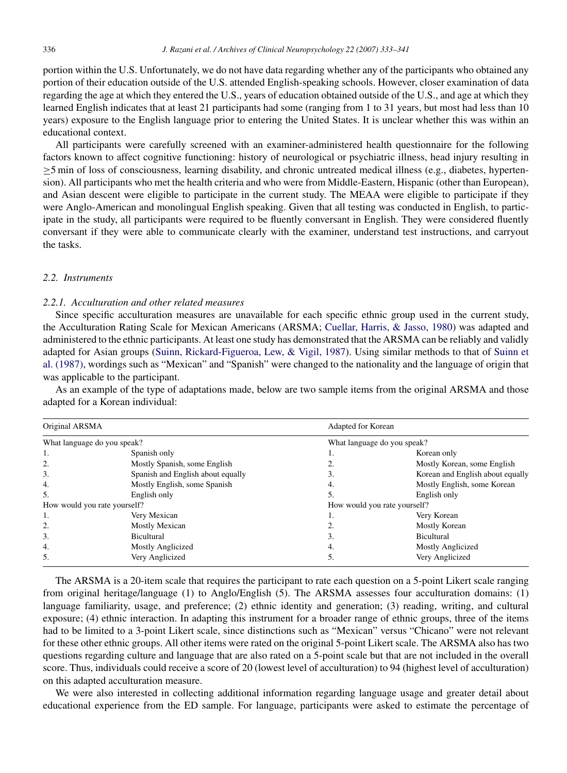portion within the U.S. Unfortunately, we do not have data regarding whether any of the participants who obtained any portion of their education outside of the U.S. attended English-speaking schools. However, closer examination of data regarding the age at which they entered the U.S., years of education obtained outside of the U.S., and age at which they learned English indicates that at least 21 participants had some (ranging from 1 to 31 years, but most had less than 10 years) exposure to the English language prior to entering the United States. It is unclear whether this was within an educational context.

All participants were carefully screened with an examiner-administered health questionnaire for the following factors known to affect cognitive functioning: history of neurological or psychiatric illness, head injury resulting in ≥5 min of loss of consciousness, learning disability, and chronic untreated medical illness (e.g., diabetes, hypertension). All participants who met the health criteria and who were from Middle-Eastern, Hispanic (other than European), and Asian descent were eligible to participate in the current study. The MEAA were eligible to participate if they were Anglo-American and monolingual English speaking. Given that all testing was conducted in English, to participate in the study, all participants were required to be fluently conversant in English. They were considered fluently conversant if they were able to communicate clearly with the examiner, understand test instructions, and carryout the tasks.

## *2.2. Instruments*

## *2.2.1. Acculturation and other related measures*

Since specific acculturation measures are unavailable for each specific ethnic group used in the current study, the Acculturation Rating Scale for Mexican Americans (ARSMA; [Cuellar, Harris, & Jasso, 1980\)](#page-8-0) was adapted and administered to the ethnic participants. At least one study has demonstrated that the ARSMA can be reliably and validly adapted for Asian groups [\(Suinn, Rickard-Figueroa, Lew, & Vigil, 1987\).](#page-8-0) Using similar methods to that of [Suinn et](#page-8-0) [al. \(1987\), w](#page-8-0)ordings such as "Mexican" and "Spanish" were changed to the nationality and the language of origin that was applicable to the participant.

As an example of the type of adaptations made, below are two sample items from the original ARSMA and those adapted for a Korean individual:

| Original ARSMA               |                                   | Adapted for Korean           |                                  |  |  |
|------------------------------|-----------------------------------|------------------------------|----------------------------------|--|--|
| What language do you speak?  |                                   | What language do you speak?  |                                  |  |  |
| 1.                           | Spanish only                      | ı.                           | Korean only                      |  |  |
| 2.                           | Mostly Spanish, some English      |                              | Mostly Korean, some English      |  |  |
| 3.                           | Spanish and English about equally | 3.                           | Korean and English about equally |  |  |
| 4.                           | Mostly English, some Spanish      | 4.                           | Mostly English, some Korean      |  |  |
| 5.                           | English only                      | 5.                           | English only                     |  |  |
| How would you rate yourself? |                                   | How would you rate yourself? |                                  |  |  |
| 1.                           | Very Mexican                      |                              | Very Korean                      |  |  |
| 2.                           | <b>Mostly Mexican</b>             |                              | Mostly Korean                    |  |  |
| 3.                           | <b>Bicultural</b>                 | 3.                           | <b>Bicultural</b>                |  |  |
| 4.                           | Mostly Anglicized                 | 4.                           | Mostly Anglicized                |  |  |
| 5.                           | Very Anglicized                   | 5.                           | Very Anglicized                  |  |  |

The ARSMA is a 20-item scale that requires the participant to rate each question on a 5-point Likert scale ranging from original heritage/language (1) to Anglo/English (5). The ARSMA assesses four acculturation domains: (1) language familiarity, usage, and preference; (2) ethnic identity and generation; (3) reading, writing, and cultural exposure; (4) ethnic interaction. In adapting this instrument for a broader range of ethnic groups, three of the items had to be limited to a 3-point Likert scale, since distinctions such as "Mexican" versus "Chicano" were not relevant for these other ethnic groups. All other items were rated on the original 5-point Likert scale. The ARSMA also has two questions regarding culture and language that are also rated on a 5-point scale but that are not included in the overall score. Thus, individuals could receive a score of 20 (lowest level of acculturation) to 94 (highest level of acculturation) on this adapted acculturation measure.

We were also interested in collecting additional information regarding language usage and greater detail about educational experience from the ED sample. For language, participants were asked to estimate the percentage of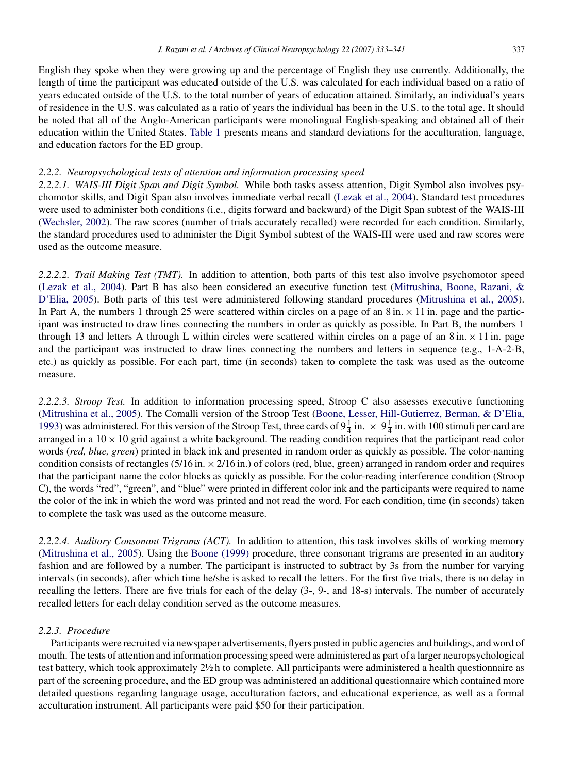English they spoke when they were growing up and the percentage of English they use currently. Additionally, the length of time the participant was educated outside of the U.S. was calculated for each individual based on a ratio of years educated outside of the U.S. to the total number of years of education attained. Similarly, an individual's years of residence in the U.S. was calculated as a ratio of years the individual has been in the U.S. to the total age. It should be noted that all of the Anglo-American participants were monolingual English-speaking and obtained all of their education within the United States. [Table 1](#page-2-0) presents means and standard deviations for the acculturation, language, and education factors for the ED group.

## *2.2.2. Neuropsychological tests of attention and information processing speed*

*2.2.2.1. WAIS-III Digit Span and Digit Symbol.* While both tasks assess attention, Digit Symbol also involves psychomotor skills, and Digit Span also involves immediate verbal recall ([Lezak et al., 2004\).](#page-8-0) Standard test procedures were used to administer both conditions (i.e., digits forward and backward) of the Digit Span subtest of the WAIS-III [\(Wechsler, 2002\).](#page-8-0) The raw scores (number of trials accurately recalled) were recorded for each condition. Similarly, the standard procedures used to administer the Digit Symbol subtest of the WAIS-III were used and raw scores were used as the outcome measure.

*2.2.2.2. Trail Making Test (TMT).* In addition to attention, both parts of this test also involve psychomotor speed [\(Lezak et al., 2004\).](#page-8-0) Part B has also been considered an executive function test [\(Mitrushina, Boone, Razani, &](#page-8-0) [D'Elia, 2005\).](#page-8-0) Both parts of this test were administered following standard procedures ([Mitrushina et al., 2005\).](#page-8-0) In Part A, the numbers 1 through 25 were scattered within circles on a page of an  $8 \text{ in.} \times 11 \text{ in.}$  page and the participant was instructed to draw lines connecting the numbers in order as quickly as possible. In Part B, the numbers 1 through 13 and letters A through L within circles were scattered within circles on a page of an  $8 \text{ in.} \times 11 \text{ in.}$  page and the participant was instructed to draw lines connecting the numbers and letters in sequence (e.g., 1-A-2-B, etc.) as quickly as possible. For each part, time (in seconds) taken to complete the task was used as the outcome measure.

*2.2.2.3. Stroop Test.* In addition to information processing speed, Stroop C also assesses executive functioning [\(Mitrushina et al., 2005\).](#page-8-0) The Comalli version of the Stroop Test [\(Boone, Lesser, Hill-Gutierrez, Berman, & D'Elia,](#page-8-0) [1993\)](#page-8-0) was administered. For this version of the Stroop Test, three cards of  $9\frac{1}{4}$  in.  $\times$   $9\frac{1}{4}$  in. with 100 stimuli per card are arranged in a  $10 \times 10$  grid against a white background. The reading condition requires that the participant read color words (*red, blue, green*) printed in black ink and presented in random order as quickly as possible. The color-naming condition consists of rectangles ( $5/16$  in.  $\times$   $2/16$  in.) of colors (red, blue, green) arranged in random order and requires that the participant name the color blocks as quickly as possible. For the color-reading interference condition (Stroop C), the words "red", "green", and "blue" were printed in different color ink and the participants were required to name the color of the ink in which the word was printed and not read the word. For each condition, time (in seconds) taken to complete the task was used as the outcome measure.

*2.2.2.4. Auditory Consonant Trigrams (ACT).* In addition to attention, this task involves skills of working memory [\(Mitrushina et al., 2005\).](#page-8-0) Using the [Boone \(1999\)](#page-8-0) procedure, three consonant trigrams are presented in an auditory fashion and are followed by a number. The participant is instructed to subtract by 3s from the number for varying intervals (in seconds), after which time he/she is asked to recall the letters. For the first five trials, there is no delay in recalling the letters. There are five trials for each of the delay (3-, 9-, and 18-s) intervals. The number of accurately recalled letters for each delay condition served as the outcome measures.

# *2.2.3. Procedure*

Participants were recruited via newspaper advertisements, flyers posted in public agencies and buildings, and word of mouth. The tests of attention and information processing speed were administered as part of a larger neuropsychological test battery, which took approximately 2½ h to complete. All participants were administered a health questionnaire as part of the screening procedure, and the ED group was administered an additional questionnaire which contained more detailed questions regarding language usage, acculturation factors, and educational experience, as well as a formal acculturation instrument. All participants were paid \$50 for their participation.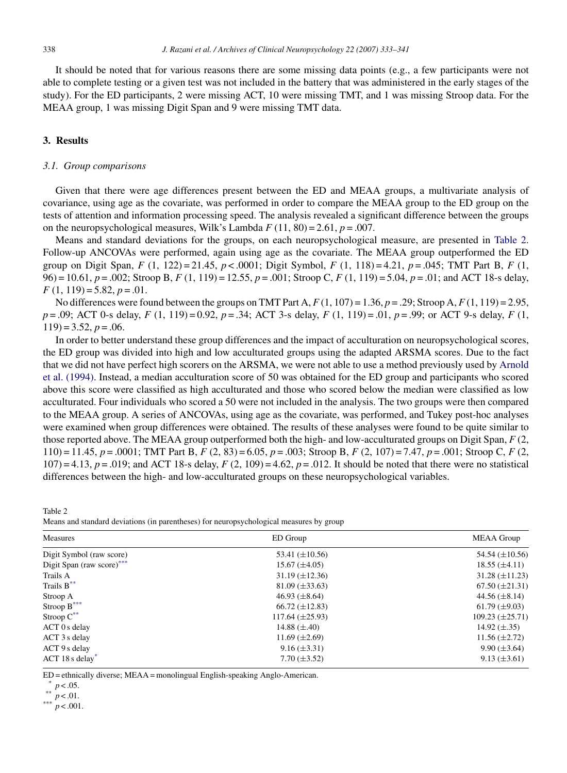It should be noted that for various reasons there are some missing data points (e.g., a few participants were not able to complete testing or a given test was not included in the battery that was administered in the early stages of the study). For the ED participants, 2 were missing ACT, 10 were missing TMT, and 1 was missing Stroop data. For the MEAA group, 1 was missing Digit Span and 9 were missing TMT data.

# **3. Results**

## *3.1. Group comparisons*

Given that there were age differences present between the ED and MEAA groups, a multivariate analysis of covariance, using age as the covariate, was performed in order to compare the MEAA group to the ED group on the tests of attention and information processing speed. The analysis revealed a significant difference between the groups on the neuropsychological measures, Wilk's Lambda  $F(11, 80) = 2.61$ ,  $p = .007$ .

Means and standard deviations for the groups, on each neuropsychological measure, are presented in Table 2. Follow-up ANCOVAs were performed, again using age as the covariate. The MEAA group outperformed the ED group on Digit Span, *F* (1, 122) = 21.45, *p* < .0001; Digit Symbol, *F* (1, 118) = 4.21, *p* = .045; TMT Part B, *F* (1, 96) = 10.61, *p* = .002; Stroop B, *F* (1, 119) = 12.55, *p* = .001; Stroop C, *F* (1, 119) = 5.04, *p* = .01; and ACT 18-s delay,  $F(1, 119) = 5.82, p = .01.$ 

No differences were found between the groups on TMT Part A, *F* (1, 107) = 1.36, *p* = .29; Stroop A, *F* (1, 119) = 2.95, *p* = .09; ACT 0-s delay, *F* (1, 119) = 0.92, *p* = .34; ACT 3-s delay, *F* (1, 119) = .01, *p* = .99; or ACT 9-s delay, *F* (1,  $119$ ) = 3.52,  $p = .06$ .

In order to better understand these group differences and the impact of acculturation on neuropsychological scores, the ED group was divided into high and low acculturated groups using the adapted ARSMA scores. Due to the fact that we did not have perfect high scorers on the ARSMA, we were not able to use a method previously used by [Arnold](#page-8-0) [et al. \(1994\).](#page-8-0) Instead, a median acculturation score of 50 was obtained for the ED group and participants who scored above this score were classified as high acculturated and those who scored below the median were classified as low acculturated. Four individuals who scored a 50 were not included in the analysis. The two groups were then compared to the MEAA group. A series of ANCOVAs, using age as the covariate, was performed, and Tukey post-hoc analyses were examined when group differences were obtained. The results of these analyses were found to be quite similar to those reported above. The MEAA group outperformed both the high- and low-acculturated groups on Digit Span, *F* (2, 110) = 11.45, *p* = .0001; TMT Part B, *F* (2, 83) = 6.05, *p* = .003; Stroop B, *F* (2, 107) = 7.47, *p* = .001; Stroop C, *F* (2,  $107$ ) = 4.13,  $p = .019$ ; and ACT 18-s delay,  $F(2, 109) = 4.62$ ,  $p = .012$ . It should be noted that there were no statistical differences between the high- and low-acculturated groups on these neuropsychological variables.

Means and standard deviations (in parentheses) for neuropsychological measures by group

| <b>Measures</b>           | ED Group               | <b>MEAA</b> Group      |  |
|---------------------------|------------------------|------------------------|--|
| Digit Symbol (raw score)  | 53.41 $(\pm 10.56)$    | 54.54 $(\pm 10.56)$    |  |
| Digit Span (raw score)*** | $15.67 \ (\pm 4.05)$   | $18.55 \ (\pm 4.11)$   |  |
| Trails A                  | $31.19 \ (\pm 12.36)$  | $31.28 (\pm 11.23)$    |  |
| Trails B <sup>**</sup>    | $81.09 \ (\pm 33.63)$  | $67.50 \ (\pm 21.31)$  |  |
| Stroop A                  | 46.93 $(\pm 8.64)$     | 44.56 $(\pm 8.14)$     |  |
| Stroop $B***$             | $66.72 \ (\pm 12.83)$  | $61.79 \ (\pm 9.03)$   |  |
| Stroop $C^{**}$           | $117.64 \ (\pm 25.93)$ | $109.23 \ (\pm 25.71)$ |  |
| ACT 0 s delay             | 14.88 $(\pm .40)$      | 14.92 $(\pm .35)$      |  |
| ACT 3 s delay             | $11.69 \ (\pm 2.69)$   | $11.56 \ (\pm 2.72)$   |  |
| ACT 9 s delay             | $9.16 \ (\pm 3.31)$    | $9.90 \ (\pm 3.64)$    |  |
| ACT 18 s delay            | $7.70 \ (\pm 3.52)$    | $9.13 \ (\pm 3.61)$    |  |

ED = ethnically diverse; MEAA = monolingual English-speaking Anglo-American.

Table 2

\*\*\*  $p < .001$ .

 $*$  *p* < .05.

<sup>\*\*</sup>  $p < .01$ .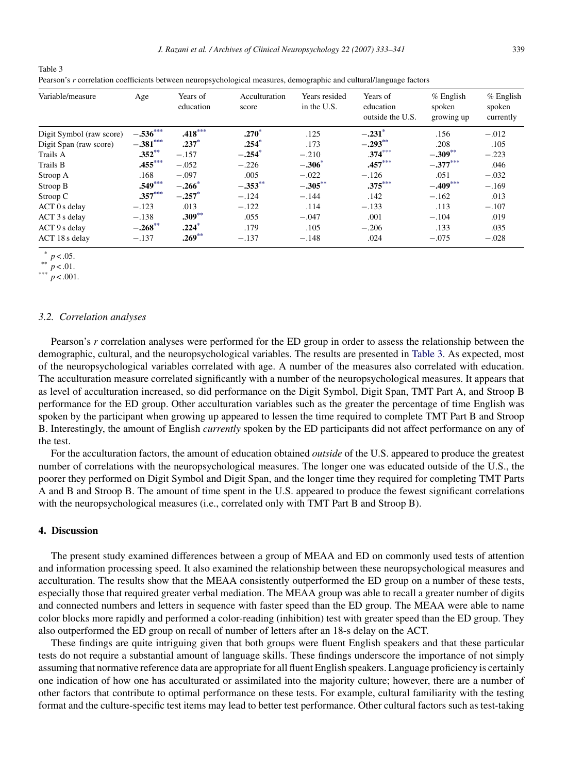| Table 3                                                                                                             |
|---------------------------------------------------------------------------------------------------------------------|
| Pearson's r correlation coefficients between neuropsychological measures, demographic and cultural/language factors |

| Variable/measure         | Age        | Years of<br>education | Acculturation<br>score | Years resided<br>in the U.S. | Years of<br>education<br>outside the U.S. | $%$ English<br>spoken<br>growing up | $%$ English<br>spoken<br>currently |
|--------------------------|------------|-----------------------|------------------------|------------------------------|-------------------------------------------|-------------------------------------|------------------------------------|
| Digit Symbol (raw score) | $-.536***$ | $.418***$             | $.270*$                | .125                         | $-.231$ <sup>*</sup>                      | .156                                | $-.012$                            |
| Digit Span (raw score)   | $-.381***$ | $.237*$               | $.254*$                | .173                         | $-.293***$                                | .208                                | .105                               |
| Trails A                 | $.352**$   | $-.157$               | $-.254^*$              | $-.210$                      | $.374***$                                 | $-.309**$                           | $-.223$                            |
| Trails B                 | $.455***$  | $-.052$               | $-.226$                | $-.306^*$                    | $.457***$                                 | $-.377***$                          | .046                               |
| Stroop A                 | .168       | $-.097$               | .005                   | $-.022$                      | $-.126$                                   | .051                                | $-.032$                            |
| Stroop B                 | $.549***$  | $-.266*$              | $-.353$ **             | $-.305***$                   | $.375***$                                 | $-.409***$                          | $-.169$                            |
| Stroop C                 | $.357***$  | $-.257$               | $-.124$                | $-.144$                      | .142                                      | $-.162$                             | .013                               |
| ACT 0 s delay            | $-.123$    | .013                  | $-.122$                | .114                         | $-.133$                                   | .113                                | $-.107$                            |
| ACT 3 s delay            | $-.138$    | $.309***$             | .055                   | $-.047$                      | .001                                      | $-.104$                             | .019                               |
| ACT 9 s delay            | $-.268$ ** | $.224*$               | .179                   | .105                         | $-.206$                                   | .133                                | .035                               |
| ACT 18 s delay           | $-.137$    | $.269***$             | $-.137$                | $-.148$                      | .024                                      | $-.075$                             | $-.028$                            |

 $p < .05$ .

 $p < .01$ .

\*\*\*  $\int_{0}^{R} p < .001$ .

#### *3.2. Correlation analyses*

Pearson's *r* correlation analyses were performed for the ED group in order to assess the relationship between the demographic, cultural, and the neuropsychological variables. The results are presented in Table 3. As expected, most of the neuropsychological variables correlated with age. A number of the measures also correlated with education. The acculturation measure correlated significantly with a number of the neuropsychological measures. It appears that as level of acculturation increased, so did performance on the Digit Symbol, Digit Span, TMT Part A, and Stroop B performance for the ED group. Other acculturation variables such as the greater the percentage of time English was spoken by the participant when growing up appeared to lessen the time required to complete TMT Part B and Stroop B. Interestingly, the amount of English *currently* spoken by the ED participants did not affect performance on any of the test.

For the acculturation factors, the amount of education obtained *outside* of the U.S. appeared to produce the greatest number of correlations with the neuropsychological measures. The longer one was educated outside of the U.S., the poorer they performed on Digit Symbol and Digit Span, and the longer time they required for completing TMT Parts A and B and Stroop B. The amount of time spent in the U.S. appeared to produce the fewest significant correlations with the neuropsychological measures (i.e., correlated only with TMT Part B and Stroop B).

# **4. Discussion**

The present study examined differences between a group of MEAA and ED on commonly used tests of attention and information processing speed. It also examined the relationship between these neuropsychological measures and acculturation. The results show that the MEAA consistently outperformed the ED group on a number of these tests, especially those that required greater verbal mediation. The MEAA group was able to recall a greater number of digits and connected numbers and letters in sequence with faster speed than the ED group. The MEAA were able to name color blocks more rapidly and performed a color-reading (inhibition) test with greater speed than the ED group. They also outperformed the ED group on recall of number of letters after an 18-s delay on the ACT.

These findings are quite intriguing given that both groups were fluent English speakers and that these particular tests do not require a substantial amount of language skills. These findings underscore the importance of not simply assuming that normative reference data are appropriate for all fluent English speakers. Language proficiency is certainly one indication of how one has acculturated or assimilated into the majority culture; however, there are a number of other factors that contribute to optimal performance on these tests. For example, cultural familiarity with the testing format and the culture-specific test items may lead to better test performance. Other cultural factors such as test-taking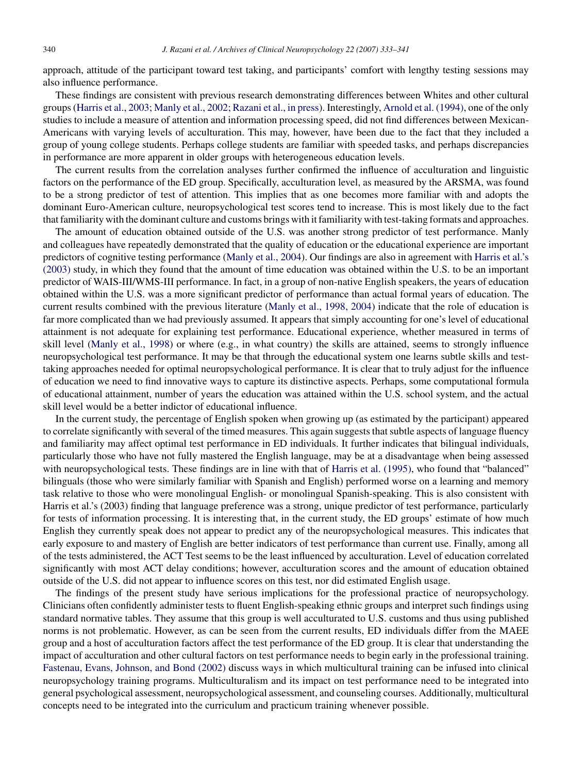approach, attitude of the participant toward test taking, and participants' comfort with lengthy testing sessions may also influence performance.

These findings are consistent with previous research demonstrating differences between Whites and other cultural groups ([Harris et al., 2003; Manly et al., 2002; Razani et al., in press\).](#page-8-0) Interestingly, [Arnold et al. \(1994\), o](#page-8-0)ne of the only studies to include a measure of attention and information processing speed, did not find differences between Mexican-Americans with varying levels of acculturation. This may, however, have been due to the fact that they included a group of young college students. Perhaps college students are familiar with speeded tasks, and perhaps discrepancies in performance are more apparent in older groups with heterogeneous education levels.

The current results from the correlation analyses further confirmed the influence of acculturation and linguistic factors on the performance of the ED group. Specifically, acculturation level, as measured by the ARSMA, was found to be a strong predictor of test of attention. This implies that as one becomes more familiar with and adopts the dominant Euro-American culture, neuropsychological test scores tend to increase. This is most likely due to the fact that familiarity with the dominant culture and customs brings with it familiarity with test-taking formats and approaches.

The amount of education obtained outside of the U.S. was another strong predictor of test performance. Manly and colleagues have repeatedly demonstrated that the quality of education or the educational experience are important predictors of cognitive testing performance [\(Manly et al., 2004\).](#page-8-0) Our findings are also in agreement with [Harris et al.'s](#page-8-0) [\(2003\)](#page-8-0) study, in which they found that the amount of time education was obtained within the U.S. to be an important predictor of WAIS-III/WMS-III performance. In fact, in a group of non-native English speakers, the years of education obtained within the U.S. was a more significant predictor of performance than actual formal years of education. The current results combined with the previous literature ([Manly et al., 1998, 2004\)](#page-8-0) indicate that the role of education is far more complicated than we had previously assumed. It appears that simply accounting for one's level of educational attainment is not adequate for explaining test performance. Educational experience, whether measured in terms of skill level [\(Manly et al., 1998\)](#page-8-0) or where (e.g., in what country) the skills are attained, seems to strongly influence neuropsychological test performance. It may be that through the educational system one learns subtle skills and testtaking approaches needed for optimal neuropsychological performance. It is clear that to truly adjust for the influence of education we need to find innovative ways to capture its distinctive aspects. Perhaps, some computational formula of educational attainment, number of years the education was attained within the U.S. school system, and the actual skill level would be a better indictor of educational influence.

In the current study, the percentage of English spoken when growing up (as estimated by the participant) appeared to correlate significantly with several of the timed measures. This again suggests that subtle aspects of language fluency and familiarity may affect optimal test performance in ED individuals. It further indicates that bilingual individuals, particularly those who have not fully mastered the English language, may be at a disadvantage when being assessed with neuropsychological tests. These findings are in line with that of [Harris et al. \(1995\), w](#page-8-0)ho found that "balanced" bilinguals (those who were similarly familiar with Spanish and English) performed worse on a learning and memory task relative to those who were monolingual English- or monolingual Spanish-speaking. This is also consistent with Harris et al.'s (2003) finding that language preference was a strong, unique predictor of test performance, particularly for tests of information processing. It is interesting that, in the current study, the ED groups' estimate of how much English they currently speak does not appear to predict any of the neuropsychological measures. This indicates that early exposure to and mastery of English are better indicators of test performance than current use. Finally, among all of the tests administered, the ACT Test seems to be the least influenced by acculturation. Level of education correlated significantly with most ACT delay conditions; however, acculturation scores and the amount of education obtained outside of the U.S. did not appear to influence scores on this test, nor did estimated English usage.

The findings of the present study have serious implications for the professional practice of neuropsychology. Clinicians often confidently administer tests to fluent English-speaking ethnic groups and interpret such findings using standard normative tables. They assume that this group is well acculturated to U.S. customs and thus using published norms is not problematic. However, as can be seen from the current results, ED individuals differ from the MAEE group and a host of acculturation factors affect the test performance of the ED group. It is clear that understanding the impact of acculturation and other cultural factors on test performance needs to begin early in the professional training. [Fastenau, Evans, Johnson, and Bond \(2002\)](#page-8-0) discuss ways in which multicultural training can be infused into clinical neuropsychology training programs. Multiculturalism and its impact on test performance need to be integrated into general psychological assessment, neuropsychological assessment, and counseling courses. Additionally, multicultural concepts need to be integrated into the curriculum and practicum training whenever possible.